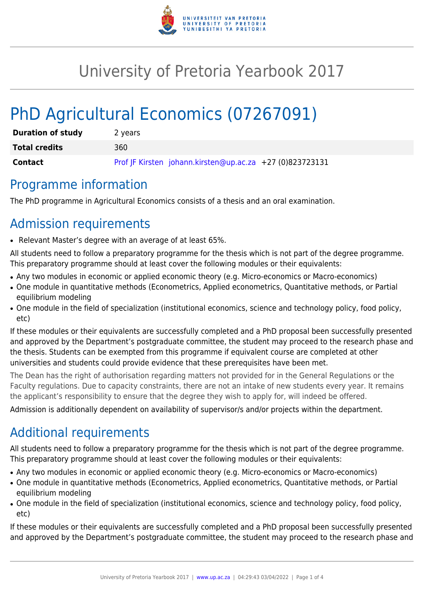

## University of Pretoria Yearbook 2017

# PhD Agricultural Economics (07267091)

| <b>Duration of study</b> | 2 years                                                  |
|--------------------------|----------------------------------------------------------|
| <b>Total credits</b>     | 360                                                      |
| Contact                  | Prof JF Kirsten johann.kirsten@up.ac.za +27 (0)823723131 |

#### Programme information

The PhD programme in Agricultural Economics consists of a thesis and an oral examination.

### Admission requirements

● Relevant Master's degree with an average of at least 65%.

All students need to follow a preparatory programme for the thesis which is not part of the degree programme. This preparatory programme should at least cover the following modules or their equivalents:

- Any two modules in economic or applied economic theory (e.g. Micro-economics or Macro-economics)
- One module in quantitative methods (Econometrics, Applied econometrics, Quantitative methods, or Partial equilibrium modeling
- One module in the field of specialization (institutional economics, science and technology policy, food policy, etc)

If these modules or their equivalents are successfully completed and a PhD proposal been successfully presented and approved by the Department's postgraduate committee, the student may proceed to the research phase and the thesis. Students can be exempted from this programme if equivalent course are completed at other universities and students could provide evidence that these prerequisites have been met.

The Dean has the right of authorisation regarding matters not provided for in the General Regulations or the Faculty regulations. Due to capacity constraints, there are not an intake of new students every year. It remains the applicant's responsibility to ensure that the degree they wish to apply for, will indeed be offered.

Admission is additionally dependent on availability of supervisor/s and/or projects within the department.

### Additional requirements

All students need to follow a preparatory programme for the thesis which is not part of the degree programme. This preparatory programme should at least cover the following modules or their equivalents:

- Any two modules in economic or applied economic theory (e.g. Micro-economics or Macro-economics)
- One module in quantitative methods (Econometrics, Applied econometrics, Quantitative methods, or Partial equilibrium modeling
- One module in the field of specialization (institutional economics, science and technology policy, food policy, etc)

If these modules or their equivalents are successfully completed and a PhD proposal been successfully presented and approved by the Department's postgraduate committee, the student may proceed to the research phase and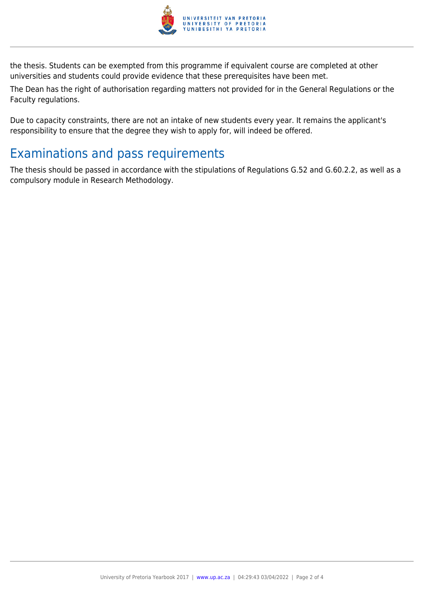

the thesis. Students can be exempted from this programme if equivalent course are completed at other universities and students could provide evidence that these prerequisites have been met.

The Dean has the right of authorisation regarding matters not provided for in the General Regulations or the Faculty regulations.

Due to capacity constraints, there are not an intake of new students every year. It remains the applicant's responsibility to ensure that the degree they wish to apply for, will indeed be offered.

### Examinations and pass requirements

The thesis should be passed in accordance with the stipulations of Regulations G.52 and G.60.2.2, as well as a compulsory module in Research Methodology.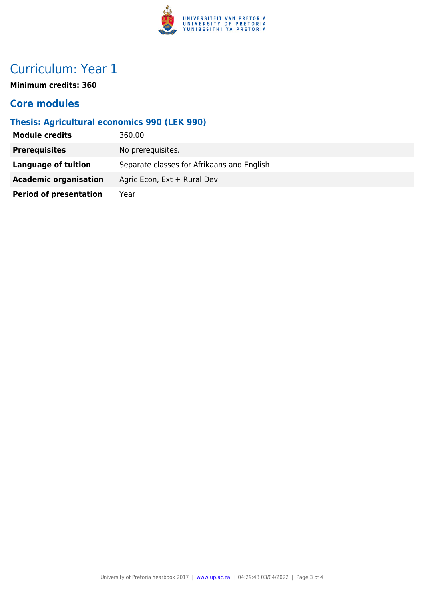

### Curriculum: Year 1

**Minimum credits: 360**

#### **Core modules**

#### **Thesis: Agricultural economics 990 (LEK 990)**

| <b>Module credits</b>         | 360.00                                     |
|-------------------------------|--------------------------------------------|
| <b>Prerequisites</b>          | No prerequisites.                          |
| Language of tuition           | Separate classes for Afrikaans and English |
| <b>Academic organisation</b>  | Agric Econ, Ext + Rural Dev                |
| <b>Period of presentation</b> | Year                                       |